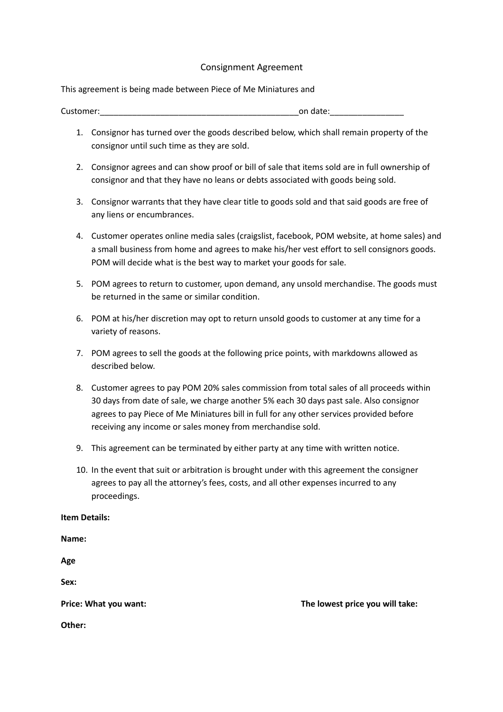## Consignment Agreement

This agreement is being made between Piece of Me Miniatures and

Customer:\_\_\_\_\_\_\_\_\_\_\_\_\_\_\_\_\_\_\_\_\_\_\_\_\_\_\_\_\_\_\_\_\_\_\_\_\_\_\_\_\_\_\_on date:\_\_\_\_\_\_\_\_\_\_\_\_\_\_\_\_

- 1. Consignor has turned over the goods described below, which shall remain property of the consignor until such time as they are sold.
- 2. Consignor agrees and can show proof or bill of sale that items sold are in full ownership of consignor and that they have no leans or debts associated with goods being sold.
- 3. Consignor warrants that they have clear title to goods sold and that said goods are free of any liens or encumbrances.
- 4. Customer operates online media sales (craigslist, facebook, POM website, at home sales) and a small business from home and agrees to make his/her vest effort to sell consignors goods. POM will decide what is the best way to market your goods for sale.
- 5. POM agrees to return to customer, upon demand, any unsold merchandise. The goods must be returned in the same or similar condition.
- 6. POM at his/her discretion may opt to return unsold goods to customer at any time for a variety of reasons.
- 7. POM agrees to sell the goods at the following price points, with markdowns allowed as described below.
- 8. Customer agrees to pay POM 20% sales commission from total sales of all proceeds within 30 days from date of sale, we charge another 5% each 30 days past sale. Also consignor agrees to pay Piece of Me Miniatures bill in full for any other services provided before receiving any income or sales money from merchandise sold.
- 9. This agreement can be terminated by either party at any time with written notice.
- 10. In the event that suit or arbitration is brought under with this agreement the consigner agrees to pay all the attorney's fees, costs, and all other expenses incurred to any proceedings.

**Item Details:**

**Name:**

**Age**

**Sex:**

**Price: What you want: The lowest price you will take:**

**Other:**